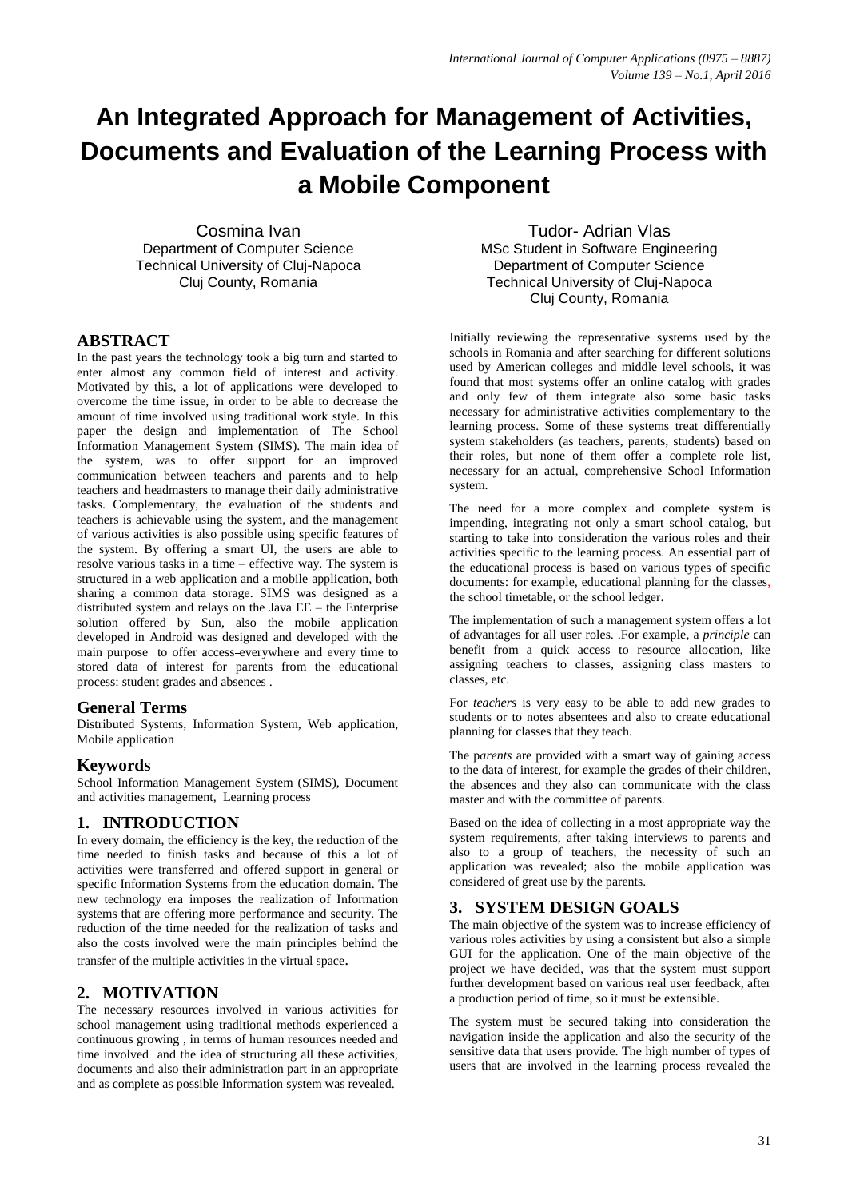# **An Integrated Approach for Management of Activities, Documents and Evaluation of the Learning Process with a Mobile Component**

Cosmina Ivan Department of Computer Science Technical University of Cluj-Napoca Cluj County, Romania

## **ABSTRACT**

In the past years the technology took a big turn and started to enter almost any common field of interest and activity. Motivated by this, a lot of applications were developed to overcome the time issue, in order to be able to decrease the amount of time involved using traditional work style. In this paper the design and implementation of The School Information Management System (SIMS). The main idea of the system, was to offer support for an improved communication between teachers and parents and to help teachers and headmasters to manage their daily administrative tasks. Complementary, the evaluation of the students and teachers is achievable using the system, and the management of various activities is also possible using specific features of the system. By offering a smart UI, the users are able to resolve various tasks in a time – effective way. The system is structured in a web application and a mobile application, both sharing a common data storage. SIMS was designed as a distributed system and relays on the Java EE – the Enterprise solution offered by Sun, also the mobile application developed in Android was designed and developed with the main purpose to offer access everywhere and every time to stored data of interest for parents from the educational process: student grades and absences .

## **General Terms**

Distributed Systems, Information System, Web application, Mobile application

## **Keywords**

School Information Management System (SIMS), Document and activities management, Learning process

# **1. INTRODUCTION**

In every domain, the efficiency is the key, the reduction of the time needed to finish tasks and because of this a lot of activities were transferred and offered support in general or specific Information Systems from the education domain. The new technology era imposes the realization of Information systems that are offering more performance and security. The reduction of the time needed for the realization of tasks and also the costs involved were the main principles behind the transfer of the multiple activities in the virtual space.

# **2. MOTIVATION**

The necessary resources involved in various activities for school management using traditional methods experienced a continuous growing , in terms of human resources needed and time involved and the idea of structuring all these activities, documents and also their administration part in an appropriate and as complete as possible Information system was revealed.

Tudor- Adrian Vlas MSc Student in Software Engineering Department of Computer Science Technical University of Cluj-Napoca Cluj County, Romania

Initially reviewing the representative systems used by the schools in Romania and after searching for different solutions used by American colleges and middle level schools, it was found that most systems offer an online catalog with grades and only few of them integrate also some basic tasks necessary for administrative activities complementary to the learning process. Some of these systems treat differentially system stakeholders (as teachers, parents, students) based on their roles, but none of them offer a complete role list, necessary for an actual, comprehensive School Information system.

The need for a more complex and complete system is impending, integrating not only a smart school catalog, but starting to take into consideration the various roles and their activities specific to the learning process. An essential part of the educational process is based on various types of specific documents: for example, educational planning for the classes, the school timetable, or the school ledger.

The implementation of such a management system offers a lot of advantages for all user roles. .For example, a *principle* can benefit from a quick access to resource allocation, like assigning teachers to classes, assigning class masters to classes, etc.

For *teachers* is very easy to be able to add new grades to students or to notes absentees and also to create educational planning for classes that they teach.

The p*arents* are provided with a smart way of gaining access to the data of interest, for example the grades of their children, the absences and they also can communicate with the class master and with the committee of parents.

Based on the idea of collecting in a most appropriate way the system requirements, after taking interviews to parents and also to a group of teachers, the necessity of such an application was revealed; also the mobile application was considered of great use by the parents.

# **3. SYSTEM DESIGN GOALS**

The main objective of the system was to increase efficiency of various roles activities by using a consistent but also a simple GUI for the application. One of the main objective of the project we have decided, was that the system must support further development based on various real user feedback, after a production period of time, so it must be extensible.

The system must be secured taking into consideration the navigation inside the application and also the security of the sensitive data that users provide. The high number of types of users that are involved in the learning process revealed the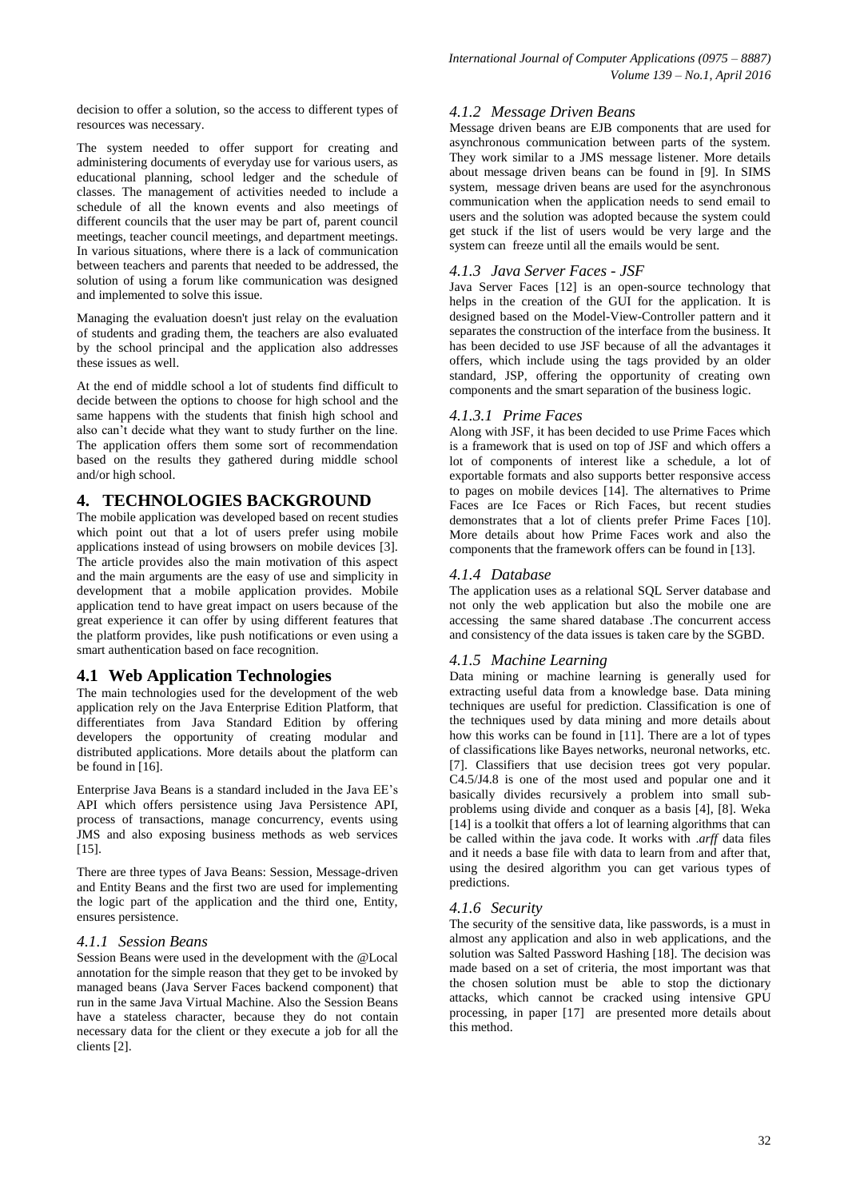decision to offer a solution, so the access to different types of resources was necessary.

The system needed to offer support for creating and administering documents of everyday use for various users, as educational planning, school ledger and the schedule of classes. The management of activities needed to include a schedule of all the known events and also meetings of different councils that the user may be part of, parent council meetings, teacher council meetings, and department meetings. In various situations, where there is a lack of communication between teachers and parents that needed to be addressed, the solution of using a forum like communication was designed and implemented to solve this issue.

Managing the evaluation doesn't just relay on the evaluation of students and grading them, the teachers are also evaluated by the school principal and the application also addresses these issues as well.

At the end of middle school a lot of students find difficult to decide between the options to choose for high school and the same happens with the students that finish high school and also can't decide what they want to study further on the line. The application offers them some sort of recommendation based on the results they gathered during middle school and/or high school.

## **4. TECHNOLOGIES BACKGROUND**

The mobile application was developed based on recent studies which point out that a lot of users prefer using mobile applications instead of using browsers on mobile devices [3]. The article provides also the main motivation of this aspect and the main arguments are the easy of use and simplicity in development that a mobile application provides. Mobile application tend to have great impact on users because of the great experience it can offer by using different features that the platform provides, like push notifications or even using a smart authentication based on face recognition.

## **4.1 Web Application Technologies**

The main technologies used for the development of the web application rely on the Java Enterprise Edition Platform, that differentiates from Java Standard Edition by offering developers the opportunity of creating modular and distributed applications. More details about the platform can be found in [16].

Enterprise Java Beans is a standard included in the Java EE's API which offers persistence using Java Persistence API, process of transactions, manage concurrency, events using JMS and also exposing business methods as web services [15].

There are three types of Java Beans: Session, Message-driven and Entity Beans and the first two are used for implementing the logic part of the application and the third one, Entity, ensures persistence.

#### *4.1.1 Session Beans*

Session Beans were used in the development with the @Local annotation for the simple reason that they get to be invoked by managed beans (Java Server Faces backend component) that run in the same Java Virtual Machine. Also the Session Beans have a stateless character, because they do not contain necessary data for the client or they execute a job for all the clients [2].

## *4.1.2 Message Driven Beans*

Message driven beans are EJB components that are used for asynchronous communication between parts of the system. They work similar to a JMS message listener. More details about message driven beans can be found in [9]. In SIMS system, message driven beans are used for the asynchronous communication when the application needs to send email to users and the solution was adopted because the system could get stuck if the list of users would be very large and the system can freeze until all the emails would be sent.

## *4.1.3 Java Server Faces - JSF*

Java Server Faces [12] is an open-source technology that helps in the creation of the GUI for the application. It is designed based on the Model-View-Controller pattern and it separates the construction of the interface from the business. It has been decided to use JSF because of all the advantages it offers, which include using the tags provided by an older standard, JSP, offering the opportunity of creating own components and the smart separation of the business logic.

#### *4.1.3.1 Prime Faces*

Along with JSF, it has been decided to use Prime Faces which is a framework that is used on top of JSF and which offers a lot of components of interest like a schedule, a lot of exportable formats and also supports better responsive access to pages on mobile devices [14]. The alternatives to Prime Faces are Ice Faces or Rich Faces, but recent studies demonstrates that a lot of clients prefer Prime Faces [10]. More details about how Prime Faces work and also the components that the framework offers can be found in [13].

## *4.1.4 Database*

The application uses as a relational SQL Server database and not only the web application but also the mobile one are accessing the same shared database .The concurrent access and consistency of the data issues is taken care by the SGBD.

## *4.1.5 Machine Learning*

Data mining or machine learning is generally used for extracting useful data from a knowledge base. Data mining techniques are useful for prediction. Classification is one of the techniques used by data mining and more details about how this works can be found in [11]. There are a lot of types of classifications like Bayes networks, neuronal networks, etc. [7]. Classifiers that use decision trees got very popular. C4.5/J4.8 is one of the most used and popular one and it basically divides recursively a problem into small subproblems using divide and conquer as a basis [4], [8]. Weka  $[14]$  is a toolkit that offers a lot of learning algorithms that can be called within the java code. It works with .*arff* data files and it needs a base file with data to learn from and after that, using the desired algorithm you can get various types of predictions.

#### *4.1.6 Security*

The security of the sensitive data, like passwords, is a must in almost any application and also in web applications, and the solution was Salted Password Hashing [18]. The decision was made based on a set of criteria, the most important was that the chosen solution must be able to stop the dictionary attacks, which cannot be cracked using intensive GPU processing, in paper [17] are presented more details about this method.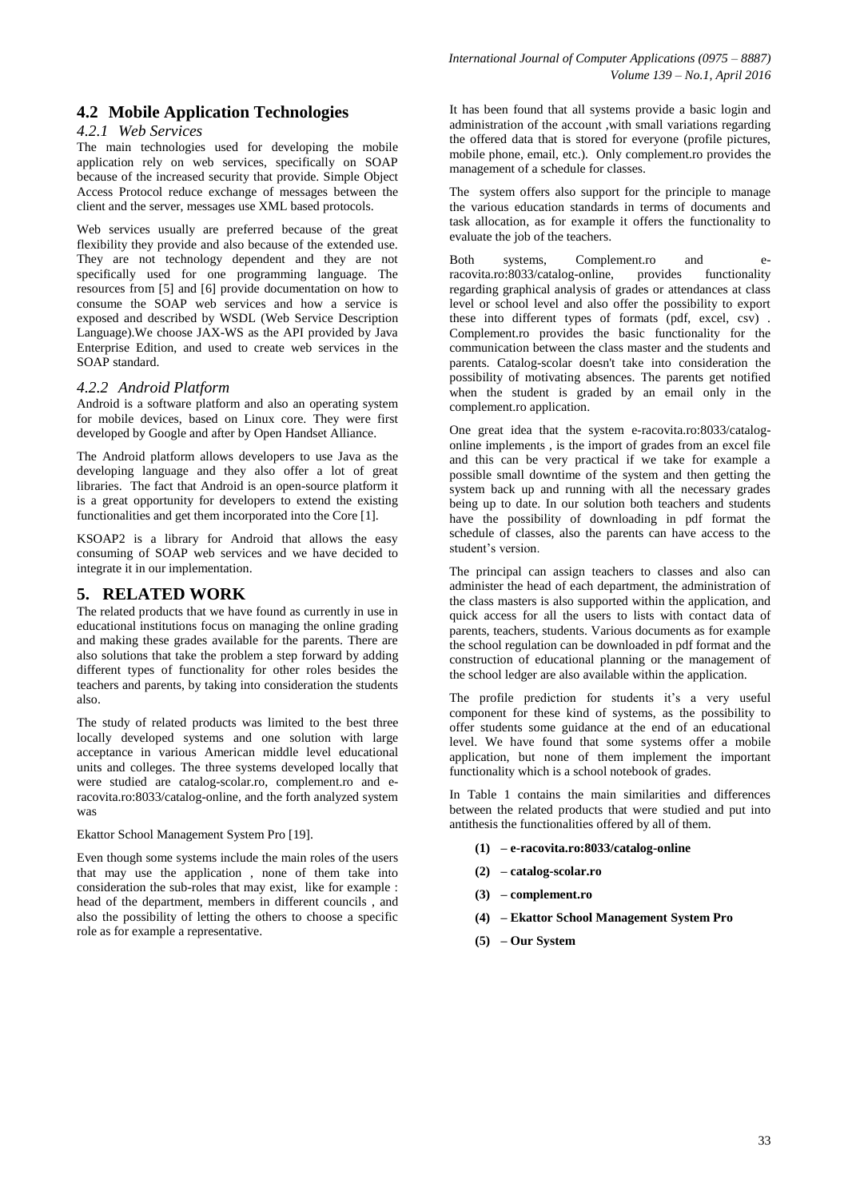# **4.2 Mobile Application Technologies**

#### *4.2.1 Web Services*

The main technologies used for developing the mobile application rely on web services, specifically on SOAP because of the increased security that provide. Simple Object Access Protocol reduce exchange of messages between the client and the server, messages use XML based protocols.

Web services usually are preferred because of the great flexibility they provide and also because of the extended use. They are not technology dependent and they are not specifically used for one programming language. The resources from [5] and [6] provide documentation on how to consume the SOAP web services and how a service is exposed and described by WSDL (Web Service Description Language).We choose JAX-WS as the API provided by Java Enterprise Edition, and used to create web services in the SOAP standard.

#### *4.2.2 Android Platform*

Android is a software platform and also an operating system for mobile devices, based on Linux core. They were first developed by Google and after by Open Handset Alliance.

The Android platform allows developers to use Java as the developing language and they also offer a lot of great libraries. The fact that Android is an open-source platform it is a great opportunity for developers to extend the existing functionalities and get them incorporated into the Core [1].

KSOAP2 is a library for Android that allows the easy consuming of SOAP web services and we have decided to integrate it in our implementation.

## **5. RELATED WORK**

The related products that we have found as currently in use in educational institutions focus on managing the online grading and making these grades available for the parents. There are also solutions that take the problem a step forward by adding different types of functionality for other roles besides the teachers and parents, by taking into consideration the students also.

The study of related products was limited to the best three locally developed systems and one solution with large acceptance in various American middle level educational units and colleges. The three systems developed locally that were studied are catalog-scolar.ro, complement.ro and eracovita.ro:8033/catalog-online, and the forth analyzed system was

Ekattor School Management System Pro [19].

Even though some systems include the main roles of the users that may use the application , none of them take into consideration the sub-roles that may exist, like for example : head of the department, members in different councils , and also the possibility of letting the others to choose a specific role as for example a representative.

It has been found that all systems provide a basic login and administration of the account ,with small variations regarding the offered data that is stored for everyone (profile pictures, mobile phone, email, etc.). Only complement.ro provides the management of a schedule for classes.

The system offers also support for the principle to manage the various education standards in terms of documents and task allocation, as for example it offers the functionality to evaluate the job of the teachers.

Both systems, Complement.ro and eracovita.ro:8033/catalog-online, provides functionality regarding graphical analysis of grades or attendances at class level or school level and also offer the possibility to export these into different types of formats (pdf, excel, csv) . Complement.ro provides the basic functionality for the communication between the class master and the students and parents. Catalog-scolar doesn't take into consideration the possibility of motivating absences. The parents get notified when the student is graded by an email only in the complement.ro application.

One great idea that the system e-racovita.ro:8033/catalogonline implements , is the import of grades from an excel file and this can be very practical if we take for example a possible small downtime of the system and then getting the system back up and running with all the necessary grades being up to date. In our solution both teachers and students have the possibility of downloading in pdf format the schedule of classes, also the parents can have access to the student's version.

The principal can assign teachers to classes and also can administer the head of each department, the administration of the class masters is also supported within the application, and quick access for all the users to lists with contact data of parents, teachers, students. Various documents as for example the school regulation can be downloaded in pdf format and the construction of educational planning or the management of the school ledger are also available within the application.

The profile prediction for students it's a very useful component for these kind of systems, as the possibility to offer students some guidance at the end of an educational level. We have found that some systems offer a mobile application, but none of them implement the important functionality which is a school notebook of grades.

In Table 1 contains the main similarities and differences between the related products that were studied and put into antithesis the functionalities offered by all of them.

- **(1) – e-racovita.ro:8033/catalog-online**
- **(2) – catalog-scolar.ro**
- **(3) – complement.ro**
- **(4) – Ekattor School Management System Pro**
- **(5) – Our System**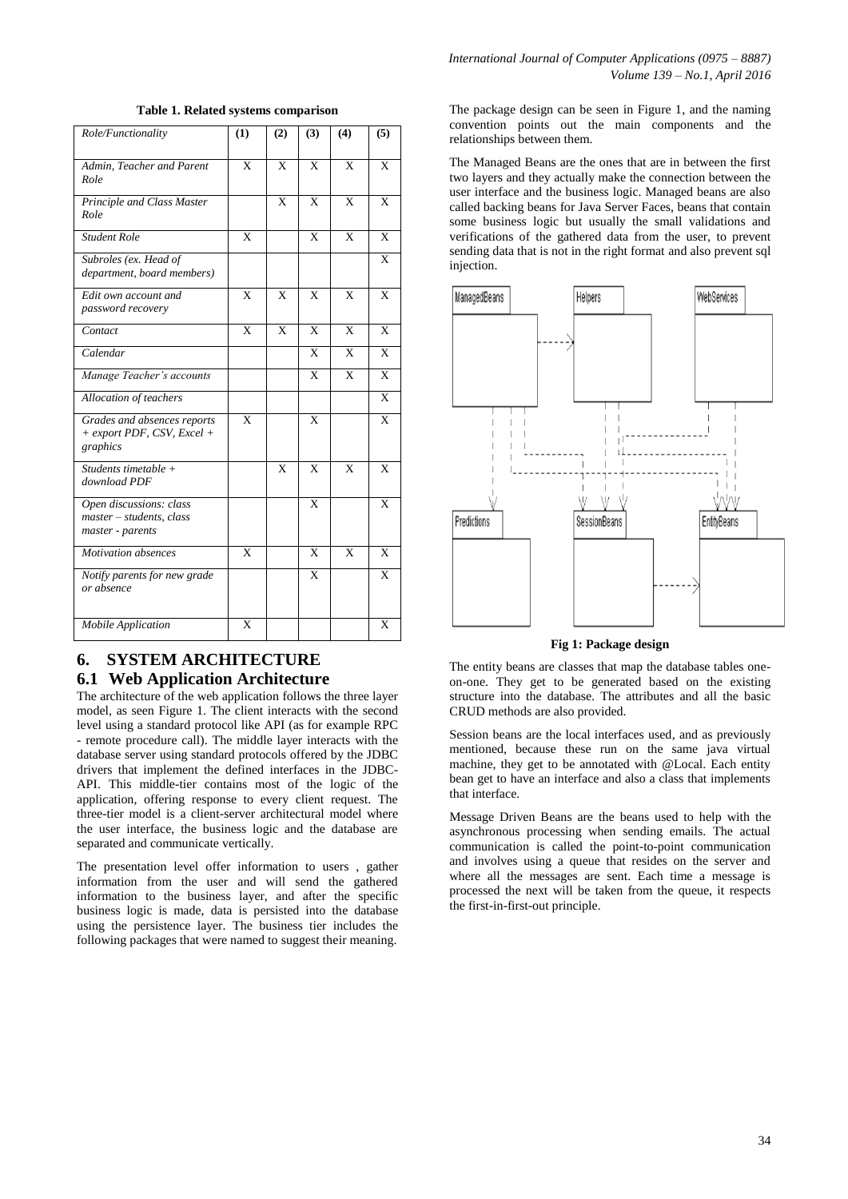| Role/Functionality                                                        | (1)          | (2)                     | (3)                     | (4)                     | (5)                     |
|---------------------------------------------------------------------------|--------------|-------------------------|-------------------------|-------------------------|-------------------------|
| Admin, Teacher and Parent<br>Role                                         | $\mathbf{x}$ | X                       | X                       | $\mathbf{x}$            | X                       |
| Principle and Class Master<br>Role                                        |              | $\overline{\mathbf{x}}$ | $\overline{\mathbf{x}}$ | $\overline{\mathbf{x}}$ | $\overline{\mathbf{x}}$ |
| <b>Student Role</b>                                                       | $\mathbf{x}$ |                         | X                       | $\mathbf{x}$            | $\mathbf{x}$            |
| Subroles (ex. Head of<br>department, board members)                       |              |                         |                         |                         | X                       |
| Edit own account and<br>password recovery                                 | X            | X                       | X                       | X                       | X                       |
| Contact                                                                   | X            | X                       | X                       | $\mathbf{X}$            | X                       |
| Calendar                                                                  |              |                         | X                       | X                       | X                       |
| Manage Teacher's accounts                                                 |              |                         | X                       | X                       | X                       |
| Allocation of teachers                                                    |              |                         |                         |                         | $\mathbf{x}$            |
| Grades and absences reports<br>$+$ export PDF, CSV, Excel $+$<br>graphics | X            |                         | X                       |                         | X                       |
| Students timetable $+$<br>download PDF                                    |              | $\mathbf{x}$            | $\mathbf{x}$            | $\mathbf{x}$            | $\mathbf{x}$            |
| Open discussions: class<br>master - students, class<br>master - parents   |              |                         | $\mathbf{x}$            |                         | X                       |
| <b>Motivation</b> absences                                                | X            |                         | X                       | $\mathbf{x}$            | X                       |
| Notify parents for new grade<br>or absence                                |              |                         | X                       |                         | X                       |
| Mobile Application                                                        | X            |                         |                         |                         | X                       |

#### **Table 1. Related systems comparison**

## **6. SYSTEM ARCHITECTURE 6.1 Web Application Architecture**

The architecture of the web application follows the three layer model, as seen Figure 1. The client interacts with the second level using a standard protocol like API (as for example RPC - remote procedure call). The middle layer interacts with the database server using standard protocols offered by the JDBC drivers that implement the defined interfaces in the JDBC-API. This middle-tier contains most of the logic of the application, offering response to every client request. The three-tier model is a client-server architectural model where the user interface, the business logic and the database are separated and communicate vertically.

The presentation level offer information to users , gather information from the user and will send the gathered information to the business layer, and after the specific business logic is made, data is persisted into the database using the persistence layer. The business tier includes the following packages that were named to suggest their meaning.

The package design can be seen in Figure 1, and the naming convention points out the main components and the relationships between them.

The Managed Beans are the ones that are in between the first two layers and they actually make the connection between the user interface and the business logic. Managed beans are also called backing beans for Java Server Faces, beans that contain some business logic but usually the small validations and verifications of the gathered data from the user, to prevent sending data that is not in the right format and also prevent sql injection.



**Fig 1: Package design**

The entity beans are classes that map the database tables oneon-one. They get to be generated based on the existing structure into the database. The attributes and all the basic CRUD methods are also provided.

Session beans are the local interfaces used, and as previously mentioned, because these run on the same java virtual machine, they get to be annotated with @Local. Each entity bean get to have an interface and also a class that implements that interface.

Message Driven Beans are the beans used to help with the asynchronous processing when sending emails. The actual communication is called the point-to-point communication and involves using a queue that resides on the server and where all the messages are sent. Each time a message is processed the next will be taken from the queue, it respects the first-in-first-out principle.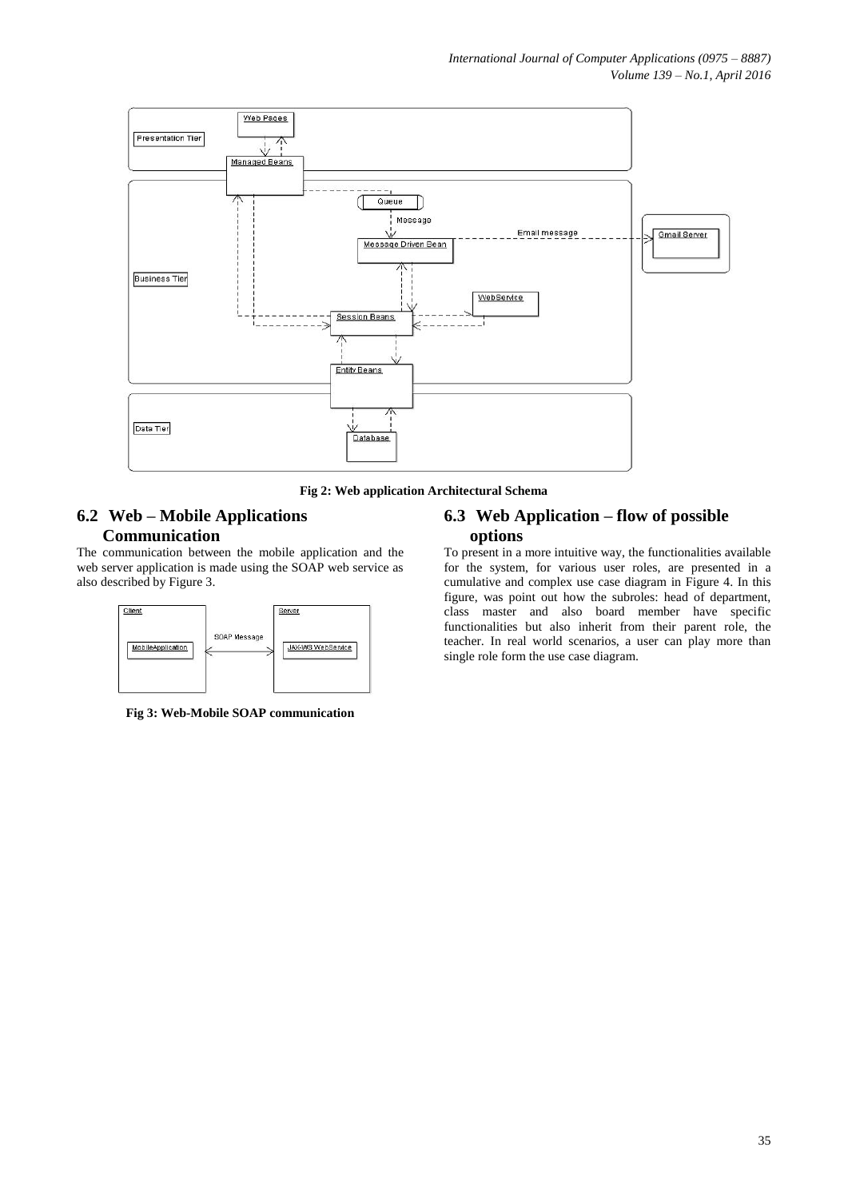

**Fig 2: Web application Architectural Schema**

# **6.2 Web – Mobile Applications Communication**

The communication between the mobile application and the web server application is made using the SOAP web service as also described by Figure 3.



**Fig 3: Web-Mobile SOAP communication**

## **6.3 Web Application – flow of possible options**

To present in a more intuitive way, the functionalities available for the system, for various user roles, are presented in a cumulative and complex use case diagram in Figure 4. In this figure, was point out how the subroles: head of department, class master and also board member have specific functionalities but also inherit from their parent role, the teacher. In real world scenarios, a user can play more than single role form the use case diagram.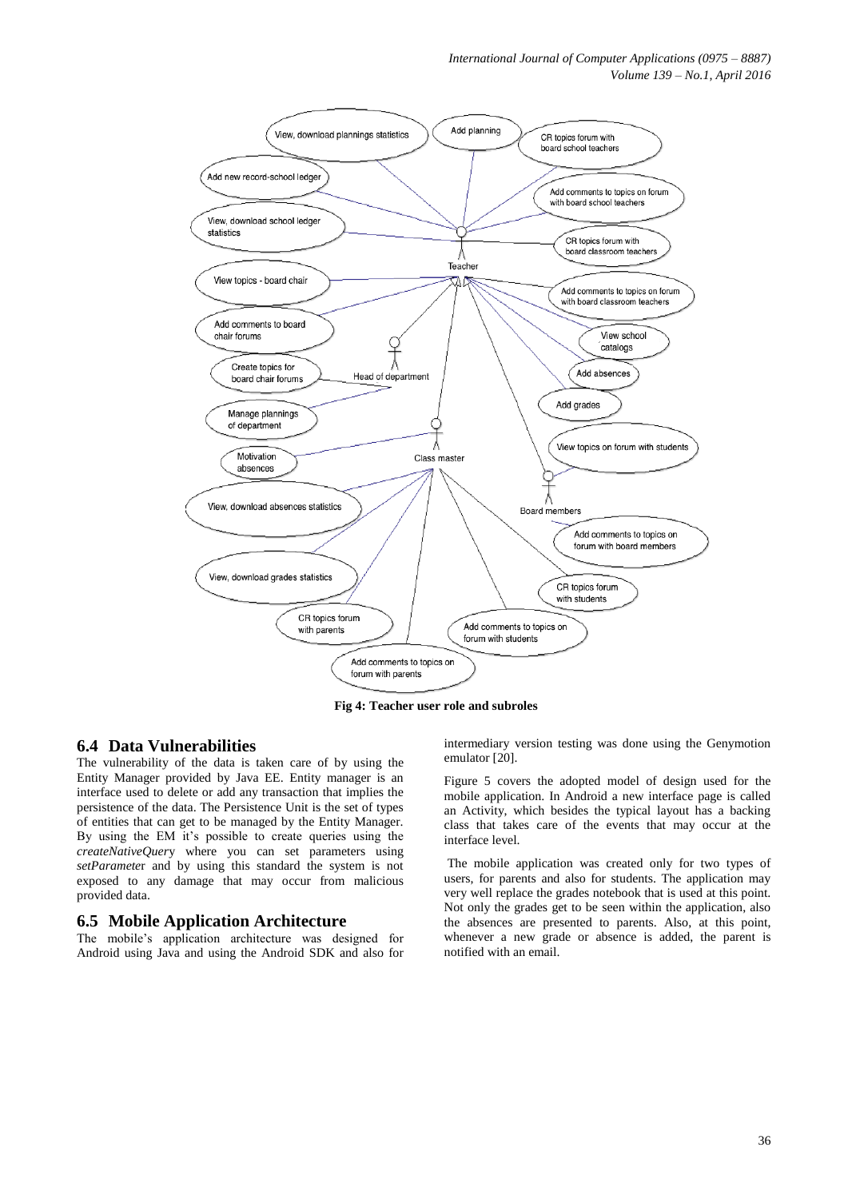

**Fig 4: Teacher user role and subroles**

## **6.4 Data Vulnerabilities**

The vulnerability of the data is taken care of by using the Entity Manager provided by Java EE. Entity manager is an interface used to delete or add any transaction that implies the persistence of the data. The Persistence Unit is the set of types of entities that can get to be managed by the Entity Manager. By using the EM it's possible to create queries using the *createNativeQuer*y where you can set parameters using *setParamete*r and by using this standard the system is not exposed to any damage that may occur from malicious provided data.

#### **6.5 Mobile Application Architecture**

The mobile's application architecture was designed for Android using Java and using the Android SDK and also for

intermediary version testing was done using the Genymotion emulator [20].

Figure 5 covers the adopted model of design used for the mobile application. In Android a new interface page is called an Activity, which besides the typical layout has a backing class that takes care of the events that may occur at the interface level.

The mobile application was created only for two types of users, for parents and also for students. The application may very well replace the grades notebook that is used at this point. Not only the grades get to be seen within the application, also the absences are presented to parents. Also, at this point, whenever a new grade or absence is added, the parent is notified with an email.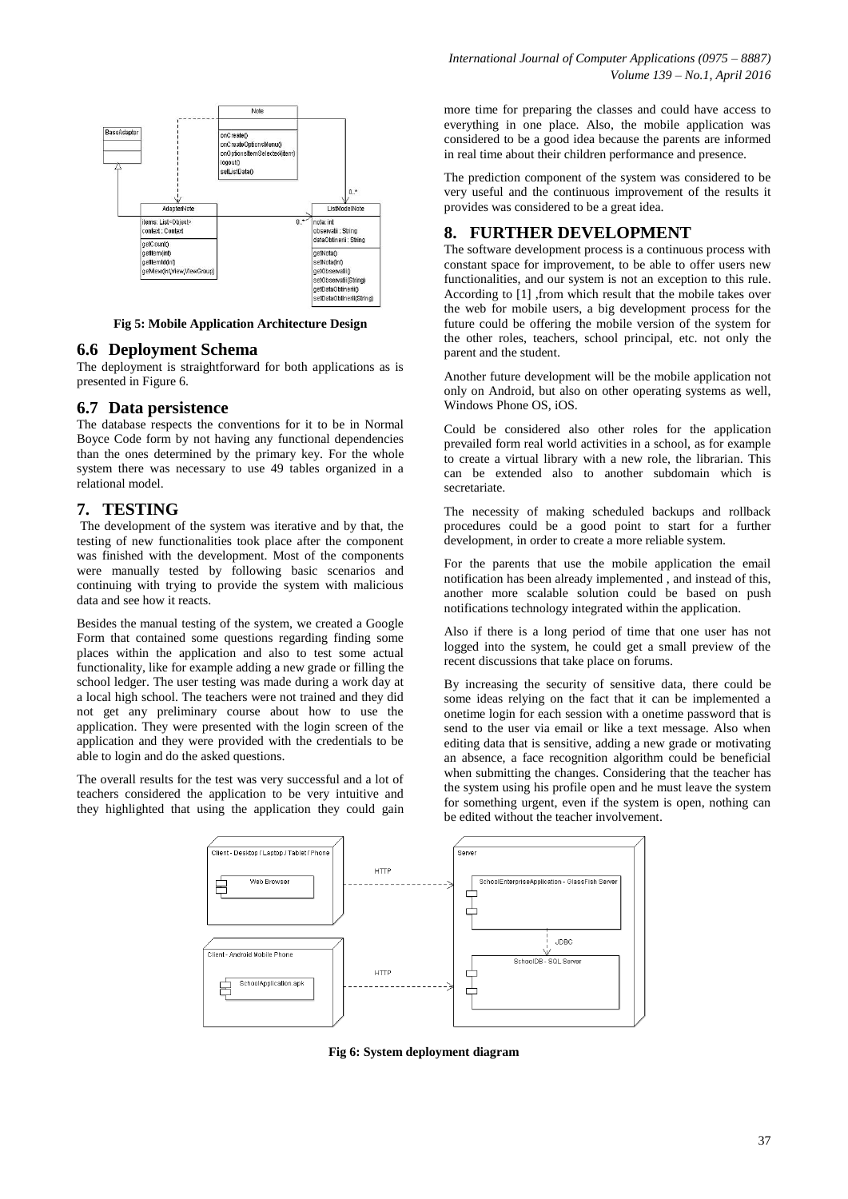

**Fig 5: Mobile Application Architecture Design**

#### **6.6 Deployment Schema**

The deployment is straightforward for both applications as is presented in Figure 6.

## **6.7 Data persistence**

The database respects the conventions for it to be in Normal Boyce Code form by not having any functional dependencies than the ones determined by the primary key. For the whole system there was necessary to use 49 tables organized in a relational model.

## **7. TESTING**

The development of the system was iterative and by that, the testing of new functionalities took place after the component was finished with the development. Most of the components were manually tested by following basic scenarios and continuing with trying to provide the system with malicious data and see how it reacts.

Besides the manual testing of the system, we created a Google Form that contained some questions regarding finding some places within the application and also to test some actual functionality, like for example adding a new grade or filling the school ledger. The user testing was made during a work day at a local high school. The teachers were not trained and they did not get any preliminary course about how to use the application. They were presented with the login screen of the application and they were provided with the credentials to be able to login and do the asked questions.

The overall results for the test was very successful and a lot of teachers considered the application to be very intuitive and they highlighted that using the application they could gain more time for preparing the classes and could have access to everything in one place. Also, the mobile application was considered to be a good idea because the parents are informed in real time about their children performance and presence.

The prediction component of the system was considered to be very useful and the continuous improvement of the results it provides was considered to be a great idea.

## **8. FURTHER DEVELOPMENT**

The software development process is a continuous process with constant space for improvement, to be able to offer users new functionalities, and our system is not an exception to this rule. According to [1] ,from which result that the mobile takes over the web for mobile users, a big development process for the future could be offering the mobile version of the system for the other roles, teachers, school principal, etc. not only the parent and the student.

Another future development will be the mobile application not only on Android, but also on other operating systems as well, Windows Phone OS, iOS.

Could be considered also other roles for the application prevailed form real world activities in a school, as for example to create a virtual library with a new role, the librarian. This can be extended also to another subdomain which is secretariate.

The necessity of making scheduled backups and rollback procedures could be a good point to start for a further development, in order to create a more reliable system.

For the parents that use the mobile application the email notification has been already implemented , and instead of this, another more scalable solution could be based on push notifications technology integrated within the application.

Also if there is a long period of time that one user has not logged into the system, he could get a small preview of the recent discussions that take place on forums.

By increasing the security of sensitive data, there could be some ideas relying on the fact that it can be implemented a onetime login for each session with a onetime password that is send to the user via email or like a text message. Also when editing data that is sensitive, adding a new grade or motivating an absence, a face recognition algorithm could be beneficial when submitting the changes. Considering that the teacher has the system using his profile open and he must leave the system for something urgent, even if the system is open, nothing can be edited without the teacher involvement.



**Fig 6: System deployment diagram**